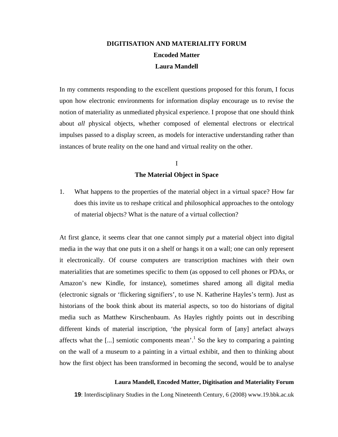# **DIGITISATION AND MATERIALITY FORUM Encoded Matter Laura Mandell**

In my comments responding to the excellent questions proposed for this forum, I focus upon how electronic environments for information display encourage us to revise the notion of materiality as unmediated physical experience. I propose that one should think about *all* physical objects, whether composed of elemental electrons or electrical impulses passed to a display screen, as models for interactive understanding rather than instances of brute reality on the one hand and virtual reality on the other.

# I **The Material Object in Space**

1. What happens to the properties of the material object in a virtual space? How far does this invite us to reshape critical and philosophical approaches to the ontology of material objects? What is the nature of a virtual collection?

At first glance, it seems clear that one cannot simply *put* a material object into digital media in the way that one puts it on a shelf or hangs it on a wall; one can only represent it electronically. Of course computers are transcription machines with their own materialities that are sometimes specific to them (as opposed to cell phones or PDAs, or Amazon's new Kindle, for instance), sometimes shared among all digital media (electronic signals or 'flickering signifiers', to use N. Katherine Hayles's term). Just as historians of the book think about its material aspects, so too do historians of digital media such as Matthew Kirschenbaum. As Hayles rightly points out in describing different kinds of material inscription, 'the physical form of [any] artefact always affects what the [...] semiotic components mean'.<sup>[1](#page-10-0)</sup> So the key to comparing a painting on the wall of a museum to a painting in a virtual exhibit, and then to thinking about how the first object has been transformed in becoming the second, would be to analyse

# **Laura Mandell, Encoded Matter, Digitisation and Materiality Forum**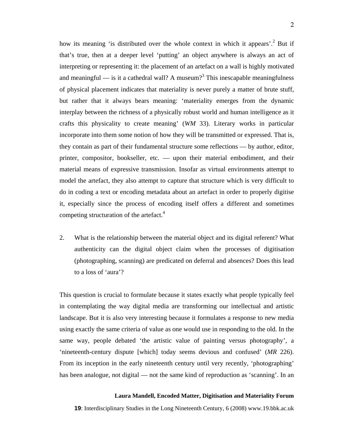how its meaning 'is distributed over the whole context in which it appears'.<sup>2</sup> But if that's true, then at a deeper level 'putting' an object anywhere is always an act of interpreting or representing it: the placement of an artefact on a wall is highly motivated andmeaningful — is it a cathedral wall? A museum?<sup>3</sup> This inescapable meaningfulness of physical placement indicates that materiality is never purely a matter of brute stuff, but rather that it always bears meaning: 'materiality emerges from the dynamic interplay between the richness of a physically robust world and human intelligence as it crafts this physicality to create meaning' (*WM* 33). Literary works in particular incorporate into them some notion of how they will be transmitted or expressed. That is, they contain as part of their fundamental structure some reflections — by author, editor, printer, compositor, bookseller, etc. — upon their material embodiment, and their material means of expressive transmission. Insofar as virtual environments attempt to model the artefact, they also attempt to capture that structure which is very difficult to do in coding a text or encoding metadata about an artefact in order to properly digitise it, especially since the process of encoding itself offers a different and sometimes competing structuration of the artefact.<sup>[4](#page-10-3)</sup>

2. What is the relationship between the material object and its digital referent? What authenticity can the digital object claim when the processes of digitisation (photographing, scanning) are predicated on deferral and absences? Does this lead to a loss of 'aura'?

This question is crucial to formulate because it states exactly what people typically feel in contemplating the way digital media are transforming our intellectual and artistic landscape. But it is also very interesting because it formulates a response to new media using exactly the same criteria of value as one would use in responding to the old. In the same way, people debated 'the artistic value of painting versus photography', a 'nineteenth-century dispute [which] today seems devious and confused' (*MR* 226). From its inception in the early nineteenth century until very recently, 'photographing' has been analogue, not digital — not the same kind of reproduction as 'scanning'. In an

### **Laura Mandell, Encoded Matter, Digitisation and Materiality Forum**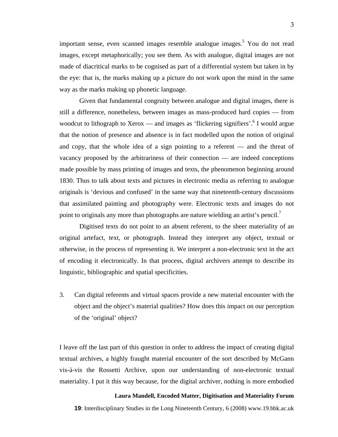important sense, even scanned images resemble analogue images.<sup>[5](#page-10-1)</sup> You do not read images, except metaphorically; you see them. As with analogue, digital images are not made of diacritical marks to be cognised as part of a differential system but taken in by the eye: that is, the marks making up a picture do not work upon the mind in the same way as the marks making up phonetic language.

Given that fundamental congruity between analogue and digital images, there is still a difference, nonetheless, between images as mass-produced hard copies — from woodcut to lithograph to Xerox — and images as 'flickering signifiers'.<sup>[6](#page-10-4)</sup> I would argue that the notion of presence and absence is in fact modelled upon the notion of original and copy, that the whole idea of a sign pointing to a referent — and the threat of vacancy proposed by the arbitrariness of their connection — are indeed conceptions made possible by mass printing of images and texts, the phenomenon beginning around 1830. Thus to talk about texts and pictures in electronic media as referring to analogue originals is 'devious and confused' in the same way that nineteenth-century discussions that assimilated painting and photography were. Electronic texts and images do not point to originals any more than photographs are nature wielding an artist's pencil.<sup>[7](#page-10-3)</sup>

Digitised texts do not point to an absent referent, to the sheer materiality of an original artefact, text, or photograph. Instead they interpret any object, textual or otherwise, in the process of representing it. We interpret a non-electronic text in the act of encoding it electronically. In that process, digital archivers attempt to describe its linguistic, bibliographic and spatial specificities.

3. Can digital referents and virtual spaces provide a new material encounter with the object and the object's material qualities? How does this impact on our perception of the 'original' object?

I leave off the last part of this question in order to address the impact of creating digital textual archives, a highly fraught material encounter of the sort described by McGann vis-à-vis the Rossetti Archive, upon our understanding of non-electronic textual materiality. I put it this way because, for the digital archiver, nothing is more embodied

# **Laura Mandell, Encoded Matter, Digitisation and Materiality Forum**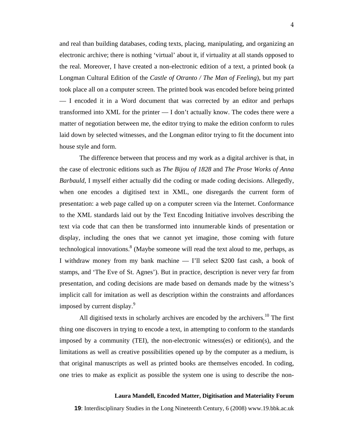and real than building databases, coding texts, placing, manipulating, and organizing an electronic archive; there is nothing 'virtual' about it, if virtuality at all stands opposed to the real. Moreover, I have created a non-electronic edition of a text, a printed book (a Longman Cultural Edition of the *Castle of Otranto / The Man of Feeling*), but my part took place all on a computer screen. The printed book was encoded before being printed — I encoded it in a Word document that was corrected by an editor and perhaps transformed into XML for the printer — I don't actually know. The codes there were a matter of negotiation between me, the editor trying to make the edition conform to rules laid down by selected witnesses, and the Longman editor trying to fit the document into house style and form.

The difference between that process and my work as a digital archiver is that, in the case of electronic editions such as *The Bijou of 1828* and *The Prose Works of Anna Barbauld*, I myself either actually did the coding or made coding decisions. Allegedly, when one encodes a digitised text in XML, one disregards the current form of presentation: a web page called up on a computer screen via the Internet. Conformance to the XML standards laid out by the Text Encoding Initiative involves describing the text via code that can then be transformed into innumerable kinds of presentation or display, including the ones that we cannot yet imagine, those coming with future technological innovations. $8 \times 10^{-8}$  $8 \times 10^{-8}$  (Maybe someone will read the text aloud to me, perhaps, as I withdraw money from my bank machine — I'll select \$200 fast cash, a book of stamps, and 'The Eve of St. Agnes'). But in practice, description is never very far from presentation, and coding decisions are made based on demands made by the witness's implicit call for imitation as well as description within the constraints and affordances imposed by current display.<sup>[9](#page-10-6)</sup>

All digitised texts in scholarly archives are encoded by the archivers.<sup>10</sup> The first thing one discovers in trying to encode a text, in attempting to conform to the standards imposed by a community (TEI), the non-electronic witness(es) or edition(s), and the limitations as well as creative possibilities opened up by the computer as a medium, is that original manuscripts as well as printed books are themselves encoded. In coding, one tries to make as explicit as possible the system one is using to describe the non-

### **Laura Mandell, Encoded Matter, Digitisation and Materiality Forum**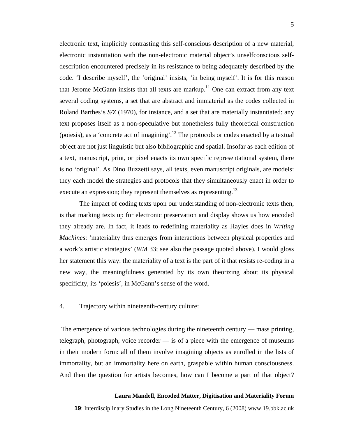electronic text, implicitly contrasting this self-conscious description of a new material, electronic instantiation with the non-electronic material object's unselfconscious selfdescription encountered precisely in its resistance to being adequately described by the code. 'I describe myself', the 'original' insists, 'in being myself'. It is for this reason that Jerome McGann insists that all texts are markup.<sup>11</sup> One can extract from any text several coding systems, a set that are abstract and immaterial as the codes collected in Roland Barthes's *S/Z* (1970), for instance, and a set that are materially instantiated: any text proposes itself as a non-speculative but nonetheless fully theoretical construction (poiesis), as a 'concrete act of imagining'.<sup>12</sup> The protocols or codes enacted by a textual object are not just linguistic but also bibliographic and spatial. Insofar as each edition of a text, manuscript, print, or pixel enacts its own specific representational system, there is no 'original'. As Dino Buzzetti says, all texts, even manuscript originals, are models: they each model the strategies and protocols that they simultaneously enact in order to execute an expression; they represent themselves as representing.<sup>[13](#page-10-10)</sup>

The impact of coding texts upon our understanding of non-electronic texts then, is that marking texts up for electronic preservation and display shows us how encoded they already are. In fact, it leads to redefining materiality as Hayles does in *Writing Machines*: 'materiality thus emerges from interactions between physical properties and a work's artistic strategies' (*WM* 33; see also the passage quoted above). I would gloss her statement this way: the materiality of a text is the part of it that resists re-coding in a new way, the meaningfulness generated by its own theorizing about its physical specificity, its 'poiesis', in McGann's sense of the word.

## 4. Trajectory within nineteenth-century culture:

The emergence of various technologies during the nineteenth century — mass printing, telegraph, photograph, voice recorder — is of a piece with the emergence of museums in their modern form: all of them involve imagining objects as enrolled in the lists of immortality, but an immortality here on earth, graspable within human consciousness. And then the question for artists becomes, how can I become a part of that object?

### **Laura Mandell, Encoded Matter, Digitisation and Materiality Forum**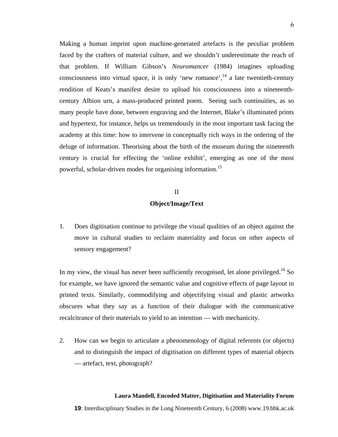Making a human imprint upon machine-generated artefacts is the peculiar problem faced by the crafters of material culture, and we shouldn't underestimate the reach of that problem. If William Gibson's *Neuromancer* (1984) imagines uploading consciousness into virtual space, it is only 'new romance', $^{14}$  a late twentieth-century rendition of Keats's manifest desire to upload his consciousness into a nineteenthcentury Albion urn, a mass-produced printed poem. Seeing such continuities, as so many people have done, between engraving and the Internet, Blake's illuminated prints and hypertext, for instance, helps us tremendously in the most important task facing the academy at this time: how to intervene in conceptually rich ways in the ordering of the deluge of information. Theorising about the birth of the museum during the nineteenth century is crucial for effecting the 'online exhibit', emerging as one of the most powerful, scholar-driven modes for organising information.[15](#page-10-11)

# II **Object/Image/Text**

1. Does digitisation continue to privilege the visual qualities of an object against the move in cultural studies to reclaim materiality and focus on other aspects of sensory engagement?

In my view, the visual has never been sufficiently recognised, let alone privileged.<sup>16</sup> So for example, we have ignored the semantic value and cognitive effects of page layout in printed texts. Similarly, commodifying and objectifying visual and plastic artworks obscures what they say as a function of their dialogue with the communicative recalcitrance of their materials to yield to an intention — with mechanicity.

2. How can we begin to articulate a phenomenology of digital referents (or objects) and to distinguish the impact of digitisation on different types of material objects — artefact, text, photograph?

## **Laura Mandell, Encoded Matter, Digitisation and Materiality Forum**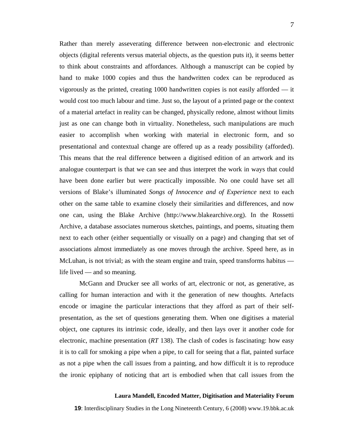Rather than merely asseverating difference between non-electronic and electronic objects (digital referents versus material objects, as the question puts it), it seems better to think about constraints and affordances. Although a manuscript can be copied by hand to make 1000 copies and thus the handwritten codex can be reproduced as vigorously as the printed, creating 1000 handwritten copies is not easily afforded — it would cost too much labour and time. Just so, the layout of a printed page or the context of a material artefact in reality can be changed, physically redone, almost without limits just as one can change both in virtuality. Nonetheless, such manipulations are much easier to accomplish when working with material in electronic form, and so presentational and contextual change are offered up as a ready possibility (afforded). This means that the real difference between a digitised edition of an artwork and its analogue counterpart is that we can see and thus interpret the work in ways that could have been done earlier but were practically impossible. No one could have set all versions of Blake's illuminated *Songs of Innocence and of Experience* next to each other on the same table to examine closely their similarities and differences, and now one can, using the Blake Archive (http://www.blakearchive.org). In the Rossetti Archive, a database associates numerous sketches, paintings, and poems, situating them next to each other (either sequentially or visually on a page) and changing that set of associations almost immediately as one moves through the archive. Speed here, as in McLuhan, is not trivial; as with the steam engine and train, speed transforms habitus life lived — and so meaning.

McGann and Drucker see all works of art, electronic or not, as generative, as calling for human interaction and with it the generation of new thoughts. Artefacts encode or imagine the particular interactions that they afford as part of their selfpresentation, as the set of questions generating them. When one digitises a material object, one captures its intrinsic code, ideally, and then lays over it another code for electronic, machine presentation (*RT* 138). The clash of codes is fascinating: how easy it is to call for smoking a pipe when a pipe, to call for seeing that a flat, painted surface as not a pipe when the call issues from a painting, and how difficult it is to reproduce the ironic epiphany of noticing that art is embodied when that call issues from the

#### **Laura Mandell, Encoded Matter, Digitisation and Materiality Forum**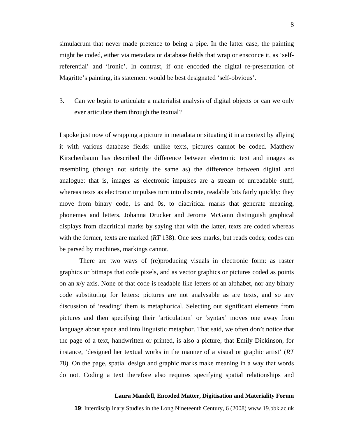simulacrum that never made pretence to being a pipe. In the latter case, the painting might be coded, either via metadata or database fields that wrap or ensconce it, as 'selfreferential' and 'ironic'. In contrast, if one encoded the digital re-presentation of Magritte's painting, its statement would be best designated 'self-obvious'.

3. Can we begin to articulate a materialist analysis of digital objects or can we only ever articulate them through the textual?

I spoke just now of wrapping a picture in metadata or situating it in a context by allying it with various database fields: unlike texts, pictures cannot be coded. Matthew Kirschenbaum has described the difference between electronic text and images as resembling (though not strictly the same as) the difference between digital and analogue: that is, images as electronic impulses are a stream of unreadable stuff, whereas texts as electronic impulses turn into discrete, readable bits fairly quickly: they move from binary code, 1s and 0s, to diacritical marks that generate meaning, phonemes and letters. Johanna Drucker and Jerome McGann distinguish graphical displays from diacritical marks by saying that with the latter, texts are coded whereas with the former, texts are marked (*RT* 138). One sees marks, but reads codes; codes can be parsed by machines, markings cannot.

There are two ways of (re)producing visuals in electronic form: as raster graphics or bitmaps that code pixels, and as vector graphics or pictures coded as points on an x/y axis. None of that code is readable like letters of an alphabet, nor any binary code substituting for letters: pictures are not analysable as are texts, and so any discussion of 'reading' them is metaphorical. Selecting out significant elements from pictures and then specifying their 'articulation' or 'syntax' moves one away from language about space and into linguistic metaphor. That said, we often don't notice that the page of a text, handwritten or printed, is also a picture, that Emily Dickinson, for instance, 'designed her textual works in the manner of a visual or graphic artist' (*RT* 78). On the page, spatial design and graphic marks make meaning in a way that words do not. Coding a text therefore also requires specifying spatial relationships and

### **Laura Mandell, Encoded Matter, Digitisation and Materiality Forum**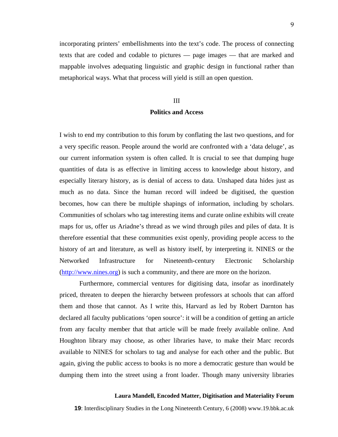incorporating printers' embellishments into the text's code. The process of connecting texts that are coded and codable to pictures — page images — that are marked and mappable involves adequating linguistic and graphic design in functional rather than metaphorical ways. What that process will yield is still an open question.

# III **Politics and Access**

I wish to end my contribution to this forum by conflating the last two questions, and for a very specific reason. People around the world are confronted with a 'data deluge', as our current information system is often called. It is crucial to see that dumping huge quantities of data is as effective in limiting access to knowledge about history, and especially literary history, as is denial of access to data. Unshaped data hides just as much as no data. Since the human record will indeed be digitised, the question becomes, how can there be multiple shapings of information, including by scholars. Communities of scholars who tag interesting items and curate online exhibits will create maps for us, offer us Ariadne's thread as we wind through piles and piles of data. It is therefore essential that these communities exist openly, providing people access to the history of art and literature, as well as history itself, by interpreting it. NINES or the Networked Infrastructure for Nineteenth-century Electronic Scholarship ([http://www.nines.org\)](http://www.nines.org/) is such a community, and there are more on the horizon.

Furthermore, commercial ventures for digitising data, insofar as inordinately priced, threaten to deepen the hierarchy between professors at schools that can afford them and those that cannot. As I write this, Harvard as led by Robert Darnton has declared all faculty publications 'open source': it will be a condition of getting an article from any faculty member that that article will be made freely available online. And Houghton library may choose, as other libraries have, to make their Marc records available to NINES for scholars to tag and analyse for each other and the public. But again, giving the public access to books is no more a democratic gesture than would be dumping them into the street using a front loader. Though many university libraries

### **Laura Mandell, Encoded Matter, Digitisation and Materiality Forum**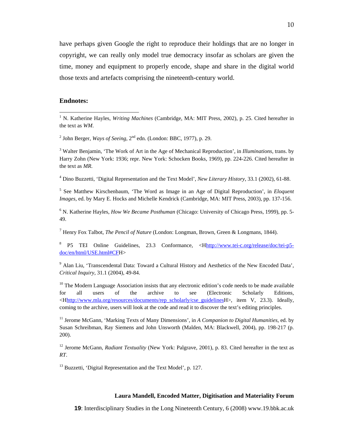have perhaps given Google the right to reproduce their holdings that are no longer in copyright, we can really only model true democracy insofar as scholars are given the time, money and equipment to properly encode, shape and share in the digital world those texts and artefacts comprising the nineteenth-century world.

## **Endnotes:**

<sup>2</sup> John Berger, *Ways of Seeing*,  $2<sup>nd</sup>$  edn. (London: BBC, 1977), p. 29.

3 Walter Benjamin, 'The Work of Art in the Age of Mechanical Reproduction', in *Illuminations,* trans. by Harry Zohn (New York: 1936; repr. New York: Schocken Books, 1969), pp. 224-226. Cited hereafter in the text as *MR*.

4 Dino Buzzetti, 'Digital Representation and the Text Model', *New Literary History*, 33.1 (2002), 61-88.

<sup>5</sup> See Matthew Kirschenbaum, 'The Word as Image in an Age of Digital Reproduction', in *Eloquent Images*, ed. by Mary E. Hocks and Michelle Kendrick (Cambridge, MA: MIT Press, 2003), pp. 137-156.

6 N. Katherine Hayles, *How We Became Posthuman* (Chicago: University of Chicago Press, 1999), pp. 5- 49.

7 Henry Fox Talbot, *The Pencil of Nature* (London: Longman, Brown, Green & Longmans, 1844).

<sup>8</sup> P5 TEI Online Guidelines, 23.3 Conformance, <Hhttp://www.tei-c.org/release/doc/tei-p5 doc/en/html/USE.html#CFH>

<sup>9</sup> Alan Liu, 'Transcendental Data: Toward a Cultural History and Aesthetics of the New Encoded Data', *Critical Inquiry*, 31.1 (2004), 49-84.

 $10$  The Modern Language Association insists that any electronic edition's code needs to be made available for all users of the archive to see (Electronic Scholarly Editions, <Hhttp://www.mla.org/resources/documents/rep\_scholarly/cse\_guidelinesH>, item V, 23.3). Ideally, coming to the archive, users will look at the code and read it to discover the text's editing principles.

11 Jerome McGann, 'Marking Texts of Many Dimensions', in *A Companion to Digital Humanities*, ed. by Susan Schreibman, Ray Siemens and John Unsworth (Malden, MA: Blackwell, 2004), pp. 198-217 (p. 200).

12 Jerome McGann, *Radiant Textuality* (New York: Palgrave, 2001), p. 83. Cited hereafter in the text as *RT*.

<sup>13</sup> Buzzetti, 'Digital Representation and the Text Model', p. 127.

## **Laura Mandell, Encoded Matter, Digitisation and Materiality Forum**

 $\frac{1}{1}$ <sup>1</sup> N. Katherine Hayles, *Writing Machines* (Cambridge, MA: MIT Press, 2002), p. 25. Cited hereafter in the text as *WM*.